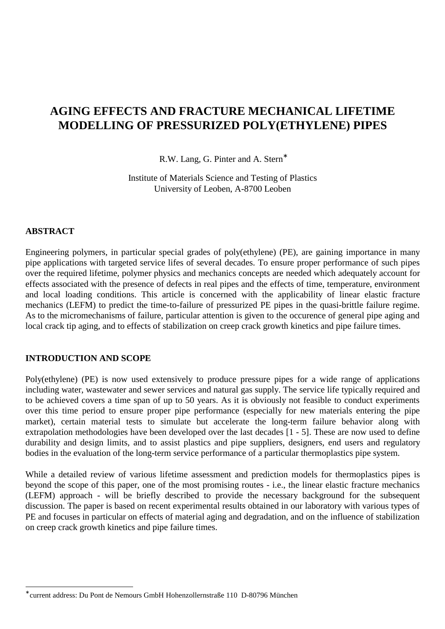# **AGING EFFECTS AND FRACTURE MECHANICAL LIFETIME MODELLING OF PRESSURIZED POLY(ETHYLENE) PIPES**

R.W. Lang, G. Pinter and A. Stern<sup>\*</sup>

Institute of Materials Science and Testing of Plastics University of Leoben, A-8700 Leoben

## **ABSTRACT**

l

Engineering polymers, in particular special grades of poly(ethylene) (PE), are gaining importance in many pipe applications with targeted service lifes of several decades. To ensure proper performance of such pipes over the required lifetime, polymer physics and mechanics concepts are needed which adequately account for effects associated with the presence of defects in real pipes and the effects of time, temperature, environment and local loading conditions. This article is concerned with the applicability of linear elastic fracture mechanics (LEFM) to predict the time-to-failure of pressurized PE pipes in the quasi-brittle failure regime. As to the micromechanisms of failure, particular attention is given to the occurence of general pipe aging and local crack tip aging, and to effects of stabilization on creep crack growth kinetics and pipe failure times.

#### **INTRODUCTION AND SCOPE**

Poly(ethylene) (PE) is now used extensively to produce pressure pipes for a wide range of applications including water, wastewater and sewer services and natural gas supply. The service life typically required and to be achieved covers a time span of up to 50 years. As it is obviously not feasible to conduct experiments over this time period to ensure proper pipe performance (especially for new materials entering the pipe market), certain material tests to simulate but accelerate the long-term failure behavior along with extrapolation methodologies have been developed over the last decades [1 - 5]. These are now used to define durability and design limits, and to assist plastics and pipe suppliers, designers, end users and regulatory bodies in the evaluation of the long-term service performance of a particular thermoplastics pipe system.

While a detailed review of various lifetime assessment and prediction models for thermoplastics pipes is beyond the scope of this paper, one of the most promising routes - i.e., the linear elastic fracture mechanics (LEFM) approach - will be briefly described to provide the necessary background for the subsequent discussion. The paper is based on recent experimental results obtained in our laboratory with various types of PE and focuses in particular on effects of material aging and degradation, and on the influence of stabilization on creep crack growth kinetics and pipe failure times.

<sup>∗</sup> current address: Du Pont de Nemours GmbH Hohenzollernstraße 110 D-80796 München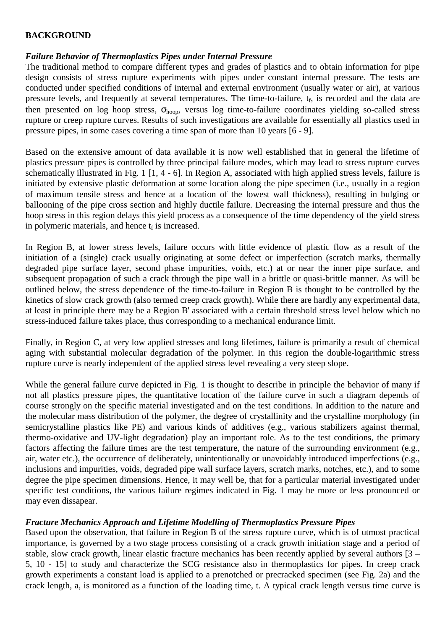# **BACKGROUND**

## *Failure Behavior of Thermoplastics Pipes under Internal Pressure*

The traditional method to compare different types and grades of plastics and to obtain information for pipe design consists of stress rupture experiments with pipes under constant internal pressure. The tests are conducted under specified conditions of internal and external environment (usually water or air), at various pressure levels, and frequently at several temperatures. The time-to-failure, t<sub>f</sub>, is recorded and the data are then presented on log hoop stress,  $\sigma_{\text{hoop}}$ , versus log time-to-failure coordinates yielding so-called stress rupture or creep rupture curves. Results of such investigations are available for essentially all plastics used in pressure pipes, in some cases covering a time span of more than 10 years [6 - 9].

Based on the extensive amount of data available it is now well established that in general the lifetime of plastics pressure pipes is controlled by three principal failure modes, which may lead to stress rupture curves schematically illustrated in Fig. 1 [1, 4 - 6]. In Region A, associated with high applied stress levels, failure is initiated by extensive plastic deformation at some location along the pipe specimen (i.e., usually in a region of maximum tensile stress and hence at a location of the lowest wall thickness), resulting in bulging or ballooning of the pipe cross section and highly ductile failure. Decreasing the internal pressure and thus the hoop stress in this region delays this yield process as a consequence of the time dependency of the yield stress in polymeric materials, and hence  $t_f$  is increased.

In Region B, at lower stress levels, failure occurs with little evidence of plastic flow as a result of the initiation of a (single) crack usually originating at some defect or imperfection (scratch marks, thermally degraded pipe surface layer, second phase impurities, voids, etc.) at or near the inner pipe surface, and subsequent propagation of such a crack through the pipe wall in a brittle or quasi-brittle manner. As will be outlined below, the stress dependence of the time-to-failure in Region B is thought to be controlled by the kinetics of slow crack growth (also termed creep crack growth). While there are hardly any experimental data, at least in principle there may be a Region B' associated with a certain threshold stress level below which no stress-induced failure takes place, thus corresponding to a mechanical endurance limit.

Finally, in Region C, at very low applied stresses and long lifetimes, failure is primarily a result of chemical aging with substantial molecular degradation of the polymer. In this region the double-logarithmic stress rupture curve is nearly independent of the applied stress level revealing a very steep slope.

While the general failure curve depicted in Fig. 1 is thought to describe in principle the behavior of many if not all plastics pressure pipes, the quantitative location of the failure curve in such a diagram depends of course strongly on the specific material investigated and on the test conditions. In addition to the nature and the molecular mass distribution of the polymer, the degree of crystallinity and the crystalline morphology (in semicrystalline plastics like PE) and various kinds of additives (e.g., various stabilizers against thermal, thermo-oxidative and UV-light degradation) play an important role. As to the test conditions, the primary factors affecting the failure times are the test temperature, the nature of the surrounding environment (e.g., air, water etc.), the occurrence of deliberately, unintentionally or unavoidably introduced imperfections (e.g., inclusions and impurities, voids, degraded pipe wall surface layers, scratch marks, notches, etc.), and to some degree the pipe specimen dimensions. Hence, it may well be, that for a particular material investigated under specific test conditions, the various failure regimes indicated in Fig. 1 may be more or less pronounced or may even dissapear.

# *Fracture Mechanics Approach and Lifetime Modelling of Thermoplastics Pressure Pipes*

Based upon the observation, that failure in Region B of the stress rupture curve, which is of utmost practical importance, is governed by a two stage process consisting of a crack growth initiation stage and a period of stable, slow crack growth, linear elastic fracture mechanics has been recently applied by several authors [3 – 5, 10 - 15] to study and characterize the SCG resistance also in thermoplastics for pipes. In creep crack growth experiments a constant load is applied to a prenotched or precracked specimen (see Fig. 2a) and the crack length, a, is monitored as a function of the loading time, t. A typical crack length versus time curve is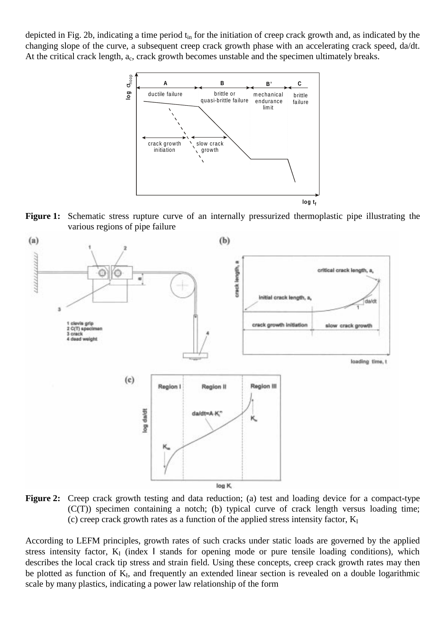depicted in Fig. 2b, indicating a time period t<sub>in</sub> for the initiation of creep crack growth and, as indicated by the changing slope of the curve, a subsequent creep crack growth phase with an accelerating crack speed, da/dt. At the critical crack length,  $a_c$ , crack growth becomes unstable and the specimen ultimately breaks.



**Figure 1:** Schematic stress rupture curve of an internally pressurized thermoplastic pipe illustrating the various regions of pipe failure



Figure 2: Creep crack growth testing and data reduction; (a) test and loading device for a compact-type (C(T)) specimen containing a notch; (b) typical curve of crack length versus loading time; (c) creep crack growth rates as a function of the applied stress intensity factor,  $K_I$ 

According to LEFM principles, growth rates of such cracks under static loads are governed by the applied stress intensity factor,  $K_I$  (index I stands for opening mode or pure tensile loading conditions), which describes the local crack tip stress and strain field. Using these concepts, creep crack growth rates may then be plotted as function of K<sub>I</sub>, and frequently an extended linear section is revealed on a double logarithmic scale by many plastics, indicating a power law relationship of the form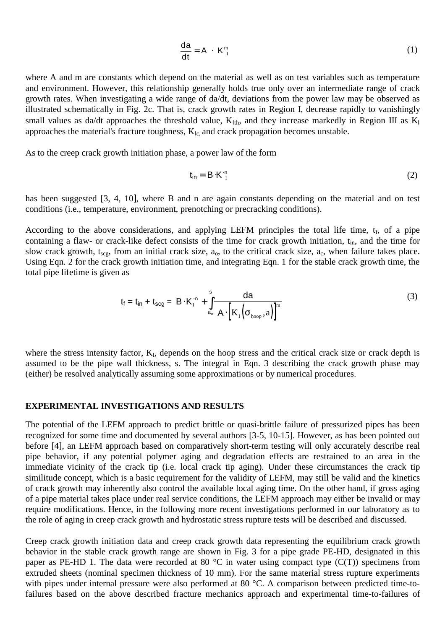$$
\frac{da}{dt} = A \cdot K_{I}^{m} \tag{1}
$$

where A and m are constants which depend on the material as well as on test variables such as temperature and environment. However, this relationship generally holds true only over an intermediate range of crack growth rates. When investigating a wide range of da/dt, deviations from the power law may be observed as illustrated schematically in Fig. 2c. That is, crack growth rates in Region I, decrease rapidly to vanishingly small values as da/dt approaches the threshold value,  $K<sub>I</sub>th$ , and they increase markedly in Region III as  $K<sub>I</sub>$ approaches the material's fracture toughness,  $K_{Ic}$  and crack propagation becomes unstable.

As to the creep crack growth initiation phase, a power law of the form

$$
\mathbf{t}_{\mathsf{in}} = \mathbf{B} \cdot \mathbf{K}_{\mathsf{I}}^{\mathsf{in}} \tag{2}
$$

has been suggested [3, 4, 10], where B and n are again constants depending on the material and on test conditions (i.e., temperature, environment, prenotching or precracking conditions).

According to the above considerations, and applying LEFM principles the total life time,  $t_f$ , of a pipe containing a flaw- or crack-like defect consists of the time for crack growth initiation, t<sub>in</sub>, and the time for slow crack growth,  $t_{\text{scg}}$ , from an initial crack size,  $a_0$ , to the critical crack size,  $a_c$ , when failure takes place. Using Eqn. 2 for the crack growth initiation time, and integrating Eqn. 1 for the stable crack growth time, the total pipe lifetime is given as

$$
t_{f} = t_{in} + t_{scg} = B \cdot K_{1}^{-n} + \int_{a_{o}}^{s} \frac{da}{A \cdot \left[K_{1}(\sigma_{\text{hoop}}, a)\right]^{m}}
$$
(3)

where the stress intensity factor, K<sub>I</sub>, depends on the hoop stress and the critical crack size or crack depth is assumed to be the pipe wall thickness, s. The integral in Eqn. 3 describing the crack growth phase may (either) be resolved analytically assuming some approximations or by numerical procedures.

#### **EXPERIMENTAL INVESTIGATIONS AND RESULTS**

The potential of the LEFM approach to predict brittle or quasi-brittle failure of pressurized pipes has been recognized for some time and documented by several authors [3-5, 10-15]. However, as has been pointed out before [4], an LEFM approach based on comparatively short-term testing will only accurately describe real pipe behavior, if any potential polymer aging and degradation effects are restrained to an area in the immediate vicinity of the crack tip (i.e. local crack tip aging). Under these circumstances the crack tip similitude concept, which is a basic requirement for the validity of LEFM, may still be valid and the kinetics of crack growth may inherently also control the available local aging time. On the other hand, if gross aging of a pipe material takes place under real service conditions, the LEFM approach may either be invalid or may require modifications. Hence, in the following more recent investigations performed in our laboratory as to the role of aging in creep crack growth and hydrostatic stress rupture tests will be described and discussed.

Creep crack growth initiation data and creep crack growth data representing the equilibrium crack growth behavior in the stable crack growth range are shown in Fig. 3 for a pipe grade PE-HD, designated in this paper as PE-HD 1. The data were recorded at 80  $^{\circ}$ C in water using compact type (C(T)) specimens from extruded sheets (nominal specimen thickness of 10 mm). For the same material stress rupture experiments with pipes under internal pressure were also performed at 80 °C. A comparison between predicted time-tofailures based on the above described fracture mechanics approach and experimental time-to-failures of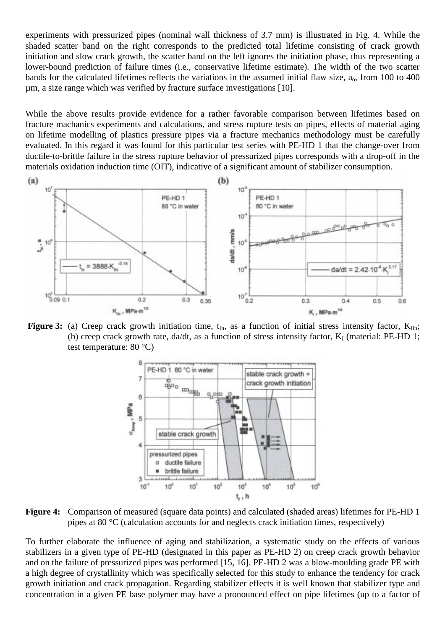experiments with pressurized pipes (nominal wall thickness of 3.7 mm) is illustrated in Fig. 4. While the shaded scatter band on the right corresponds to the predicted total lifetime consisting of crack growth initiation and slow crack growth, the scatter band on the left ignores the initiation phase, thus representing a lower-bound prediction of failure times (i.e., conservative lifetime estimate). The width of the two scatter bands for the calculated lifetimes reflects the variations in the assumed initial flaw size,  $a_0$ , from 100 to 400 µm, a size range which was verified by fracture surface investigations [10].

While the above results provide evidence for a rather favorable comparison between lifetimes based on fracture machanics experiments and calculations, and stress rupture tests on pipes, effects of material aging on lifetime modelling of plastics pressure pipes via a fracture mechanics methodology must be carefully evaluated. In this regard it was found for this particular test series with PE-HD 1 that the change-over from ductile-to-brittle failure in the stress rupture behavior of pressurized pipes corresponds with a drop-off in the materials oxidation induction time (OIT), indicative of a significant amount of stabilizer consumption.



**Figure 3:** (a) Creep crack growth initiation time,  $t_{in}$ , as a function of initial stress intensity factor,  $K_{lin}$ ; (b) creep crack growth rate, da/dt, as a function of stress intensity factor,  $K_I$  (material: PE-HD 1; test temperature: 80 °C)



**Figure 4:** Comparison of measured (square data points) and calculated (shaded areas) lifetimes for PE-HD 1 pipes at 80 °C (calculation accounts for and neglects crack initiation times, respectively)

To further elaborate the influence of aging and stabilization, a systematic study on the effects of various stabilizers in a given type of PE-HD (designated in this paper as PE-HD 2) on creep crack growth behavior and on the failure of pressurized pipes was performed [15, 16]. PE-HD 2 was a blow-moulding grade PE with a high degree of crystallinity which was specifically selected for this study to enhance the tendency for crack growth initiation and crack propagation. Regarding stabilizer effects it is well known that stabilizer type and concentration in a given PE base polymer may have a pronounced effect on pipe lifetimes (up to a factor of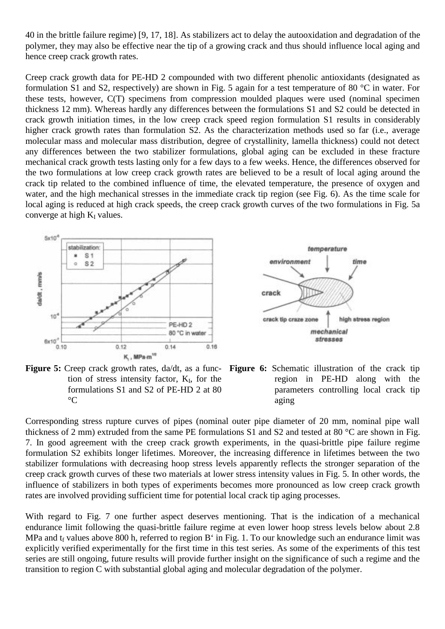40 in the brittle failure regime) [9, 17, 18]. As stabilizers act to delay the autooxidation and degradation of the polymer, they may also be effective near the tip of a growing crack and thus should influence local aging and hence creep crack growth rates.

Creep crack growth data for PE-HD 2 compounded with two different phenolic antioxidants (designated as formulation S1 and S2, respectively) are shown in Fig. 5 again for a test temperature of 80 °C in water. For these tests, however, C(T) specimens from compression moulded plaques were used (nominal specimen thickness 12 mm). Whereas hardly any differences between the formulations S1 and S2 could be detected in crack growth initiation times, in the low creep crack speed region formulation S1 results in considerably higher crack growth rates than formulation S2. As the characterization methods used so far (i.e., average molecular mass and molecular mass distribution, degree of crystallinity, lamella thickness) could not detect any differences between the two stabilizer formulations, global aging can be excluded in these fracture mechanical crack growth tests lasting only for a few days to a few weeks. Hence, the differences observed for the two formulations at low creep crack growth rates are believed to be a result of local aging around the crack tip related to the combined influence of time, the elevated temperature, the presence of oxygen and water, and the high mechanical stresses in the immediate crack tip region (see Fig. 6). As the time scale for local aging is reduced at high crack speeds, the creep crack growth curves of the two formulations in Fig. 5a converge at high  $K_I$  values.







**Figure 6:** Schematic illustration of the crack tip region in PE-HD along with the parameters controlling local crack tip aging

Corresponding stress rupture curves of pipes (nominal outer pipe diameter of 20 mm, nominal pipe wall thickness of 2 mm) extruded from the same PE formulations S1 and S2 and tested at 80 °C are shown in Fig. 7. In good agreement with the creep crack growth experiments, in the quasi-brittle pipe failure regime formulation S2 exhibits longer lifetimes. Moreover, the increasing difference in lifetimes between the two stabilizer formulations with decreasing hoop stress levels apparently reflects the stronger separation of the creep crack growth curves of these two materials at lower stress intensity values in Fig. 5. In other words, the influence of stabilizers in both types of experiments becomes more pronounced as low creep crack growth rates are involved providing sufficient time for potential local crack tip aging processes.

With regard to Fig. 7 one further aspect deserves mentioning. That is the indication of a mechanical endurance limit following the quasi-brittle failure regime at even lower hoop stress levels below about 2.8 MPa and  $t_f$  values above 800 h, referred to region B<sup> $\cdot$ </sup> in Fig. 1. To our knowledge such an endurance limit was explicitly verified experimentally for the first time in this test series. As some of the experiments of this test series are still ongoing, future results will provide further insight on the significance of such a regime and the transition to region C with substantial global aging and molecular degradation of the polymer.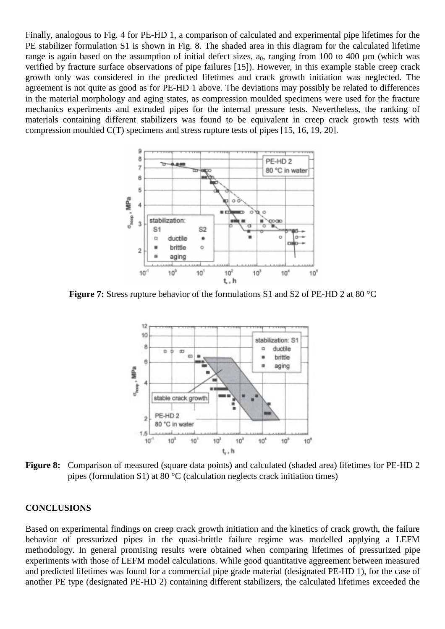Finally, analogous to Fig. 4 for PE-HD 1, a comparison of calculated and experimental pipe lifetimes for the PE stabilizer formulation S1 is shown in Fig. 8. The shaded area in this diagram for the calculated lifetime range is again based on the assumption of initial defect sizes,  $a_0$ , ranging from 100 to 400 µm (which was verified by fracture surface observations of pipe failures [15]). However, in this example stable creep crack growth only was considered in the predicted lifetimes and crack growth initiation was neglected. The agreement is not quite as good as for PE-HD 1 above. The deviations may possibly be related to differences in the material morphology and aging states, as compression moulded specimens were used for the fracture mechanics experiments and extruded pipes for the internal pressure tests. Nevertheless, the ranking of materials containing different stabilizers was found to be equivalent in creep crack growth tests with compression moulded C(T) specimens and stress rupture tests of pipes [15, 16, 19, 20].



**Figure 7:** Stress rupture behavior of the formulations S1 and S2 of PE-HD 2 at 80 °C



**Figure 8:** Comparison of measured (square data points) and calculated (shaded area) lifetimes for PE-HD 2 pipes (formulation S1) at 80  $^{\circ}$ C (calculation neglects crack initiation times)

#### **CONCLUSIONS**

Based on experimental findings on creep crack growth initiation and the kinetics of crack growth, the failure behavior of pressurized pipes in the quasi-brittle failure regime was modelled applying a LEFM methodology. In general promising results were obtained when comparing lifetimes of pressurized pipe experiments with those of LEFM model calculations. While good quantitative aggreement between measured and predicted lifetimes was found for a commercial pipe grade material (designated PE-HD 1), for the case of another PE type (designated PE-HD 2) containing different stabilizers, the calculated lifetimes exceeded the